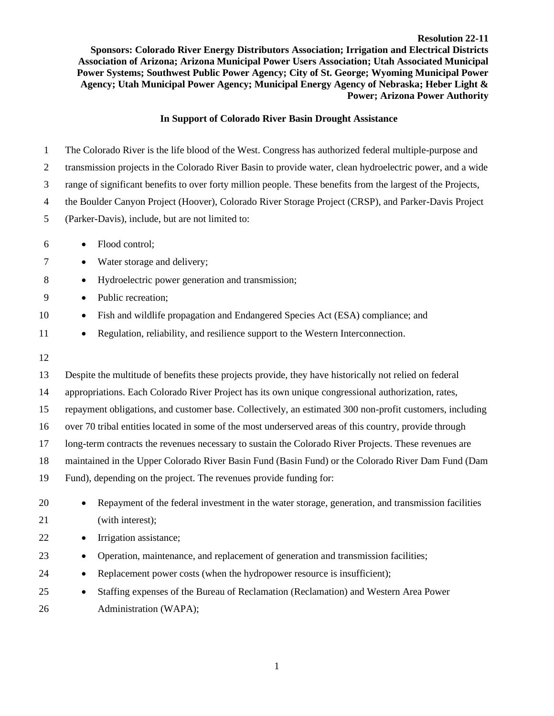**Resolution 22-11 Sponsors: Colorado River Energy Distributors Association; Irrigation and Electrical Districts Association of Arizona; Arizona Municipal Power Users Association; Utah Associated Municipal Power Systems; Southwest Public Power Agency; City of St. George; Wyoming Municipal Power Agency; Utah Municipal Power Agency; Municipal Energy Agency of Nebraska; Heber Light & Power; Arizona Power Authority**

## **In Support of Colorado River Basin Drought Assistance**

 The Colorado River is the life blood of the West. Congress has authorized federal multiple-purpose and transmission projects in the Colorado River Basin to provide water, clean hydroelectric power, and a wide range of significant benefits to over forty million people. These benefits from the largest of the Projects, the Boulder Canyon Project (Hoover), Colorado River Storage Project (CRSP), and Parker-Davis Project (Parker-Davis), include, but are not limited to: • Flood control; • Water storage and delivery; 8 • Hydroelectric power generation and transmission; • Public recreation; • Fish and wildlife propagation and Endangered Species Act (ESA) compliance; and • Regulation, reliability, and resilience support to the Western Interconnection. Despite the multitude of benefits these projects provide, they have historically not relied on federal appropriations. Each Colorado River Project has its own unique congressional authorization, rates, repayment obligations, and customer base. Collectively, an estimated 300 non-profit customers, including over 70 tribal entities located in some of the most underserved areas of this country, provide through long-term contracts the revenues necessary to sustain the Colorado River Projects. These revenues are maintained in the Upper Colorado River Basin Fund (Basin Fund) or the Colorado River Dam Fund (Dam Fund), depending on the project. The revenues provide funding for:

- Repayment of the federal investment in the water storage, generation, and transmission facilities (with interest);
- Irrigation assistance;
- Operation, maintenance, and replacement of generation and transmission facilities;
- 24 Replacement power costs (when the hydropower resource is insufficient);
- Staffing expenses of the Bureau of Reclamation (Reclamation) and Western Area Power Administration (WAPA);